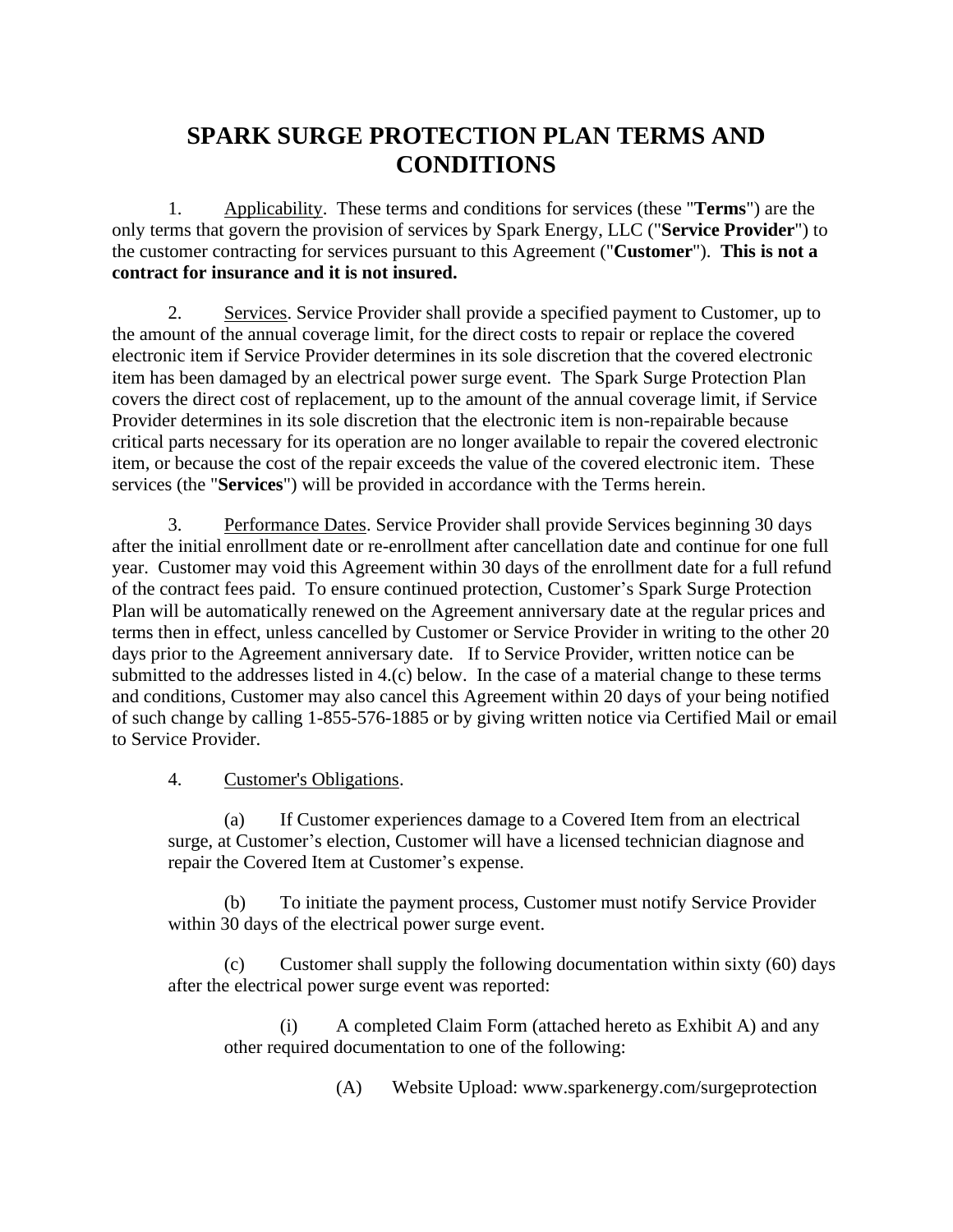## **SPARK SURGE PROTECTION PLAN TERMS AND CONDITIONS**

1. Applicability. These terms and conditions for services (these "**Terms**") are the only terms that govern the provision of services by Spark Energy, LLC ("**Service Provider**") to the customer contracting for services pursuant to this Agreement ("**Customer**"). **This is not a contract for insurance and it is not insured.**

2. Services. Service Provider shall provide a specified payment to Customer, up to the amount of the annual coverage limit, for the direct costs to repair or replace the covered electronic item if Service Provider determines in its sole discretion that the covered electronic item has been damaged by an electrical power surge event. The Spark Surge Protection Plan covers the direct cost of replacement, up to the amount of the annual coverage limit, if Service Provider determines in its sole discretion that the electronic item is non-repairable because critical parts necessary for its operation are no longer available to repair the covered electronic item, or because the cost of the repair exceeds the value of the covered electronic item. These services (the "**Services**") will be provided in accordance with the Terms herein.

3. Performance Dates. Service Provider shall provide Services beginning 30 days after the initial enrollment date or re-enrollment after cancellation date and continue for one full year. Customer may void this Agreement within 30 days of the enrollment date for a full refund of the contract fees paid. To ensure continued protection, Customer's Spark Surge Protection Plan will be automatically renewed on the Agreement anniversary date at the regular prices and terms then in effect, unless cancelled by Customer or Service Provider in writing to the other 20 days prior to the Agreement anniversary date. If to Service Provider, written notice can be submitted to the addresses listed in 4.(c) below. In the case of a material change to these terms and conditions, Customer may also cancel this Agreement within 20 days of your being notified of such change by calling 1-855-576-1885 or by giving written notice via Certified Mail or email to Service Provider.

4. Customer's Obligations.

(a) If Customer experiences damage to a Covered Item from an electrical surge, at Customer's election, Customer will have a licensed technician diagnose and repair the Covered Item at Customer's expense.

(b) To initiate the payment process, Customer must notify Service Provider within 30 days of the electrical power surge event.

(c) Customer shall supply the following documentation within sixty (60) days after the electrical power surge event was reported:

(i) A completed Claim Form (attached hereto as Exhibit A) and any other required documentation to one of the following:

(A) Website Upload: [www.sparkenergy.com/surgeprotection](http://www.sparkenergy.com/surgeprotection)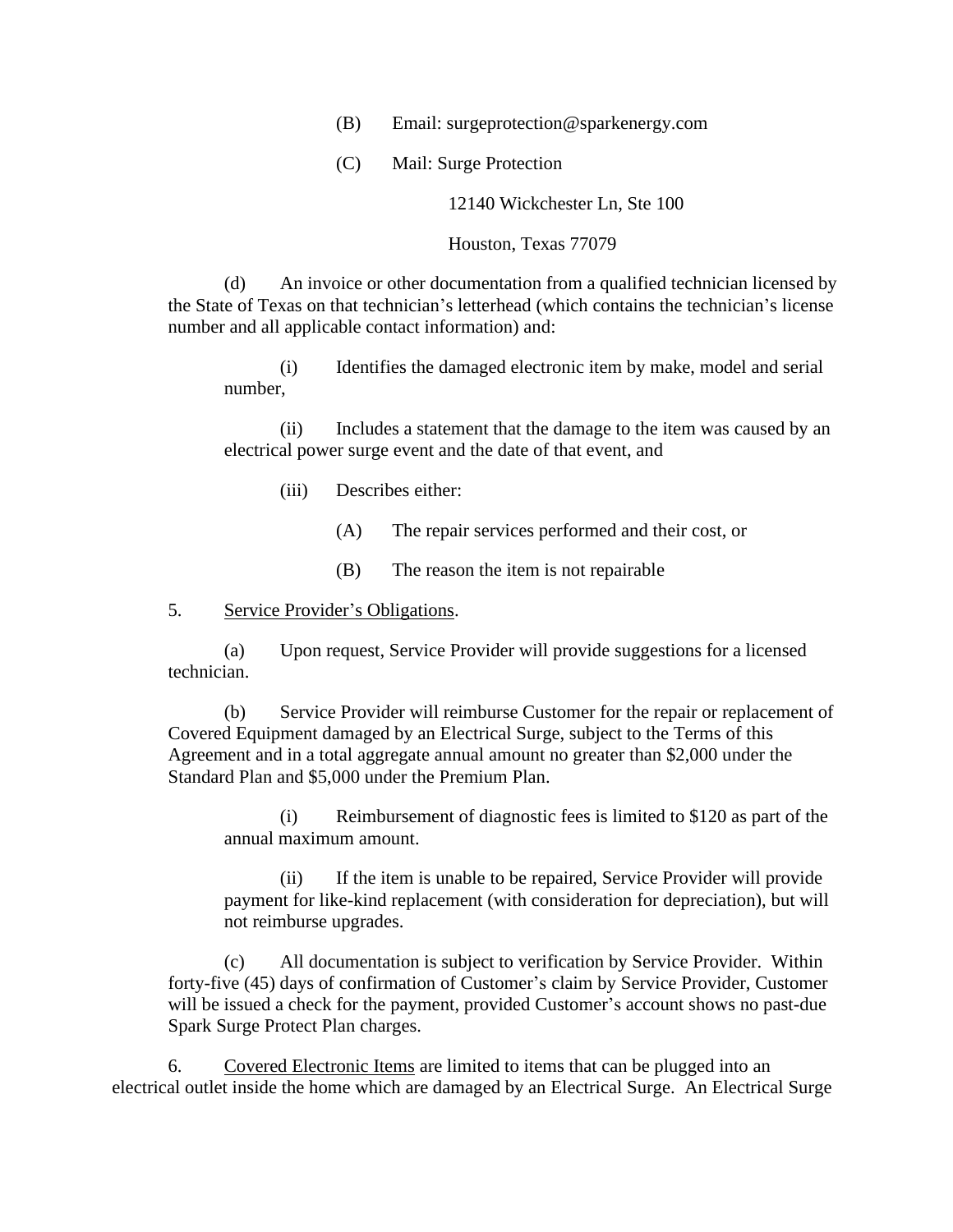- (B) Email: [surgeprotection@sparkenergy.com](mailto:surgeprotection@sparkenergy.com)
- (C) Mail: Surge Protection

12140 Wickchester Ln, Ste 100

Houston, Texas 77079

(d) An invoice or other documentation from a qualified technician licensed by the State of Texas on that technician's letterhead (which contains the technician's license number and all applicable contact information) and:

(i) Identifies the damaged electronic item by make, model and serial number,

(ii) Includes a statement that the damage to the item was caused by an electrical power surge event and the date of that event, and

- (iii) Describes either:
	- (A) The repair services performed and their cost, or
	- (B) The reason the item is not repairable
- 5. Service Provider's Obligations.

(a) Upon request, Service Provider will provide suggestions for a licensed technician.

(b) Service Provider will reimburse Customer for the repair or replacement of Covered Equipment damaged by an Electrical Surge, subject to the Terms of this Agreement and in a total aggregate annual amount no greater than \$2,000 under the Standard Plan and \$5,000 under the Premium Plan.

(i) Reimbursement of diagnostic fees is limited to \$120 as part of the annual maximum amount.

(ii) If the item is unable to be repaired, Service Provider will provide payment for like-kind replacement (with consideration for depreciation), but will not reimburse upgrades.

(c) All documentation is subject to verification by Service Provider. Within forty-five (45) days of confirmation of Customer's claim by Service Provider, Customer will be issued a check for the payment, provided Customer's account shows no past-due Spark Surge Protect Plan charges.

6. Covered Electronic Items are limited to items that can be plugged into an electrical outlet inside the home which are damaged by an Electrical Surge. An Electrical Surge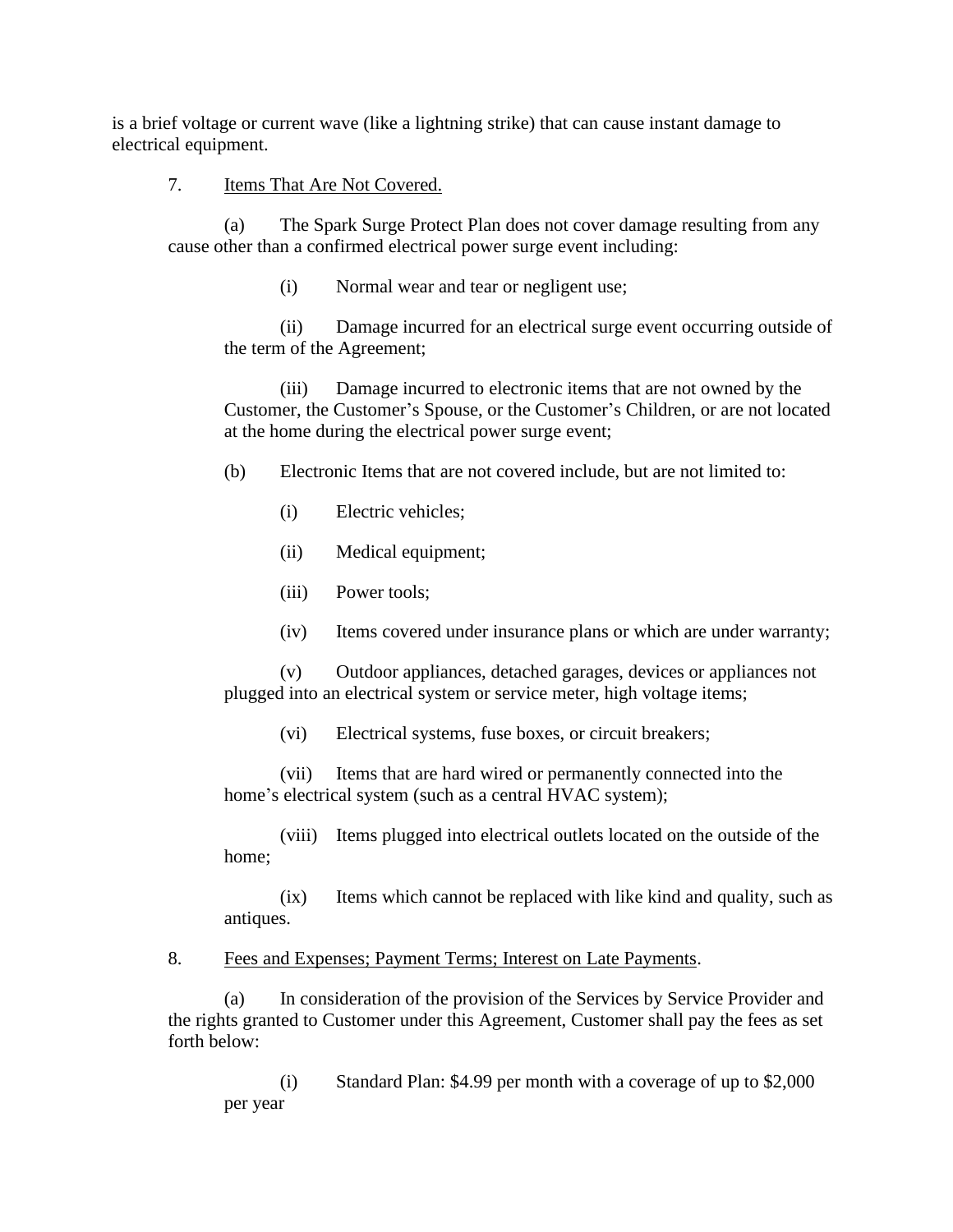is a brief voltage or current wave (like a lightning strike) that can cause instant damage to electrical equipment.

7. Items That Are Not Covered.

(a) The Spark Surge Protect Plan does not cover damage resulting from any cause other than a confirmed electrical power surge event including:

(i) Normal wear and tear or negligent use;

(ii) Damage incurred for an electrical surge event occurring outside of the term of the Agreement;

(iii) Damage incurred to electronic items that are not owned by the Customer, the Customer's Spouse, or the Customer's Children, or are not located at the home during the electrical power surge event;

(b) Electronic Items that are not covered include, but are not limited to:

- (i) Electric vehicles;
- (ii) Medical equipment;
- (iii) Power tools;
- (iv) Items covered under insurance plans or which are under warranty;

(v) Outdoor appliances, detached garages, devices or appliances not plugged into an electrical system or service meter, high voltage items;

(vi) Electrical systems, fuse boxes, or circuit breakers;

(vii) Items that are hard wired or permanently connected into the home's electrical system (such as a central HVAC system);

(viii) Items plugged into electrical outlets located on the outside of the home;

(ix) Items which cannot be replaced with like kind and quality, such as antiques.

8. Fees and Expenses; Payment Terms; Interest on Late Payments.

(a) In consideration of the provision of the Services by Service Provider and the rights granted to Customer under this Agreement, Customer shall pay the fees as set forth below:

(i) Standard Plan: \$4.99 per month with a coverage of up to \$2,000 per year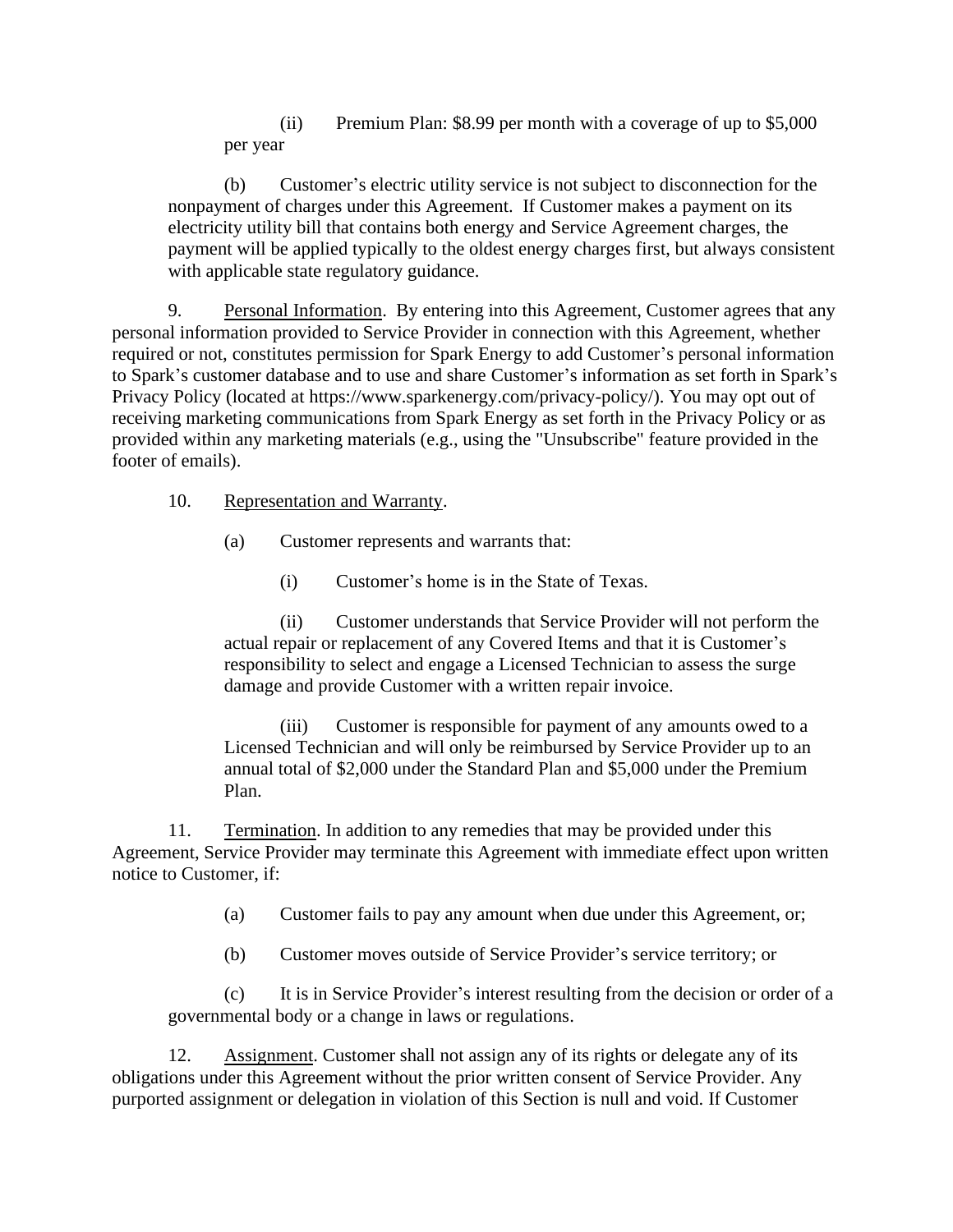(ii) Premium Plan: \$8.99 per month with a coverage of up to \$5,000 per year

(b) Customer's electric utility service is not subject to disconnection for the nonpayment of charges under this Agreement. If Customer makes a payment on its electricity utility bill that contains both energy and Service Agreement charges, the payment will be applied typically to the oldest energy charges first, but always consistent with applicable state regulatory guidance.

9. Personal Information. By entering into this Agreement, Customer agrees that any personal information provided to Service Provider in connection with this Agreement, whether required or not, constitutes permission for Spark Energy to add Customer's personal information to Spark's customer database and to use and share Customer's information as set forth in Spark's Privacy Policy (located at https://www.sparkenergy.com/privacy-policy/). You may opt out of receiving marketing communications from Spark Energy as set forth in the Privacy Policy or as provided within any marketing materials (e.g., using the "Unsubscribe" feature provided in the footer of emails).

10. Representation and Warranty.

(a) Customer represents and warrants that:

(i) Customer's home is in the State of Texas.

(ii) Customer understands that Service Provider will not perform the actual repair or replacement of any Covered Items and that it is Customer's responsibility to select and engage a Licensed Technician to assess the surge damage and provide Customer with a written repair invoice.

(iii) Customer is responsible for payment of any amounts owed to a Licensed Technician and will only be reimbursed by Service Provider up to an annual total of \$2,000 under the Standard Plan and \$5,000 under the Premium Plan.

11. Termination. In addition to any remedies that may be provided under this Agreement, Service Provider may terminate this Agreement with immediate effect upon written notice to Customer, if:

(a) Customer fails to pay any amount when due under this Agreement, or;

(b) Customer moves outside of Service Provider's service territory; or

(c) It is in Service Provider's interest resulting from the decision or order of a governmental body or a change in laws or regulations.

12. Assignment. Customer shall not assign any of its rights or delegate any of its obligations under this Agreement without the prior written consent of Service Provider. Any purported assignment or delegation in violation of this Section is null and void. If Customer